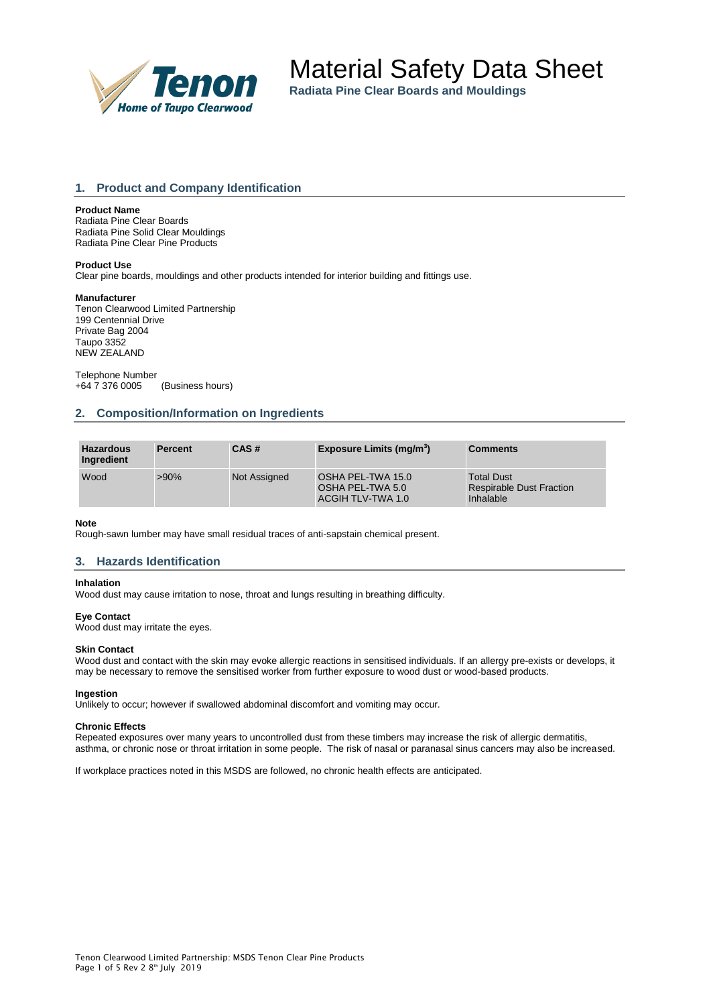

**Radiata Pine Clear Boards and Mouldings**

# **1. Product and Company Identification**

### **Product Name**

Radiata Pine Clear Boards Radiata Pine Solid Clear Mouldings Radiata Pine Clear Pine Products

### **Product Use**

Clear pine boards, mouldings and other products intended for interior building and fittings use.

#### **Manufacturer**

Tenon Clearwood Limited Partnership 199 Centennial Drive Private Bag 2004 Taupo 3352 NEW ZEALAND

Telephone Number<br>+64 7 376 0005 (Business hours)

### **2. Composition/Information on Ingredients**

| <b>Hazardous</b><br>Ingredient | <b>Percent</b> | CAS#                | Exposure Limits (mg/m <sup>3</sup> )                       | <b>Comments</b>                                                   |
|--------------------------------|----------------|---------------------|------------------------------------------------------------|-------------------------------------------------------------------|
| Wood                           | $>90\%$        | <b>Not Assigned</b> | OSHA PEL-TWA 15.0<br>OSHA PEL-TWA 5.0<br>ACGIH TLV-TWA 1.0 | <b>Total Dust</b><br><b>Respirable Dust Fraction</b><br>Inhalable |

#### **Note**

Rough-sawn lumber may have small residual traces of anti-sapstain chemical present.

### **3. Hazards Identification**

#### **Inhalation**

Wood dust may cause irritation to nose, throat and lungs resulting in breathing difficulty.

# **Eye Contact**

Wood dust may irritate the eyes.

#### **Skin Contact**

Wood dust and contact with the skin may evoke allergic reactions in sensitised individuals. If an allergy pre-exists or develops, it may be necessary to remove the sensitised worker from further exposure to wood dust or wood-based products.

#### **Ingestion**

Unlikely to occur; however if swallowed abdominal discomfort and vomiting may occur.

#### **Chronic Effects**

Repeated exposures over many years to uncontrolled dust from these timbers may increase the risk of allergic dermatitis, asthma, or chronic nose or throat irritation in some people. The risk of nasal or paranasal sinus cancers may also be increased.

If workplace practices noted in this MSDS are followed, no chronic health effects are anticipated.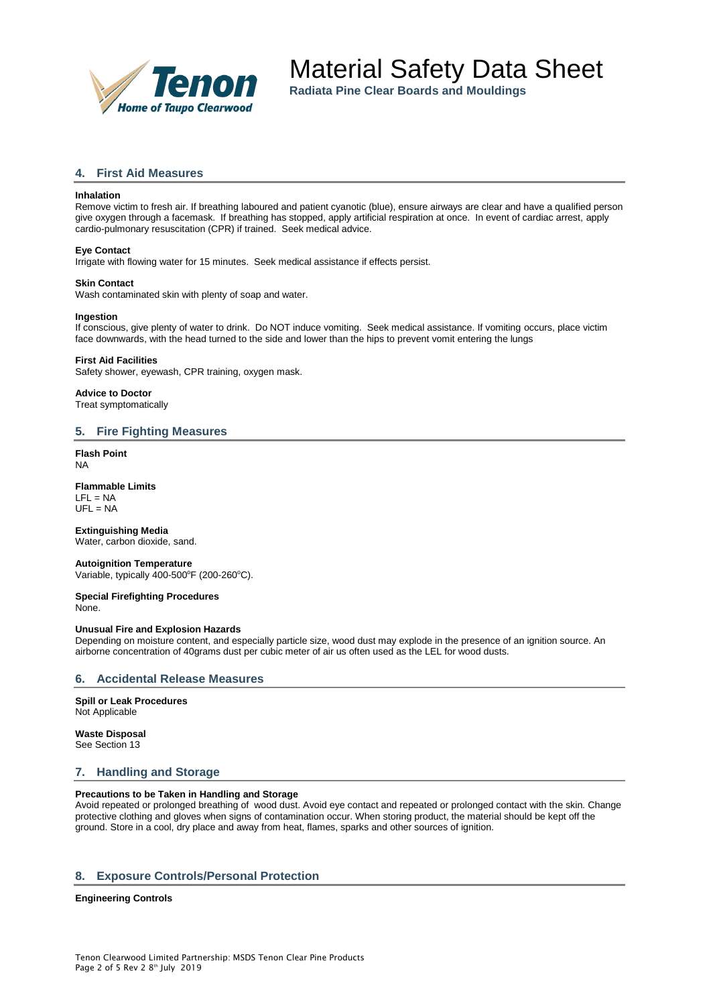

**Radiata Pine Clear Boards and Mouldings**

# **4. First Aid Measures**

### **Inhalation**

Remove victim to fresh air. If breathing laboured and patient cyanotic (blue), ensure airways are clear and have a qualified person give oxygen through a facemask. If breathing has stopped, apply artificial respiration at once. In event of cardiac arrest, apply cardio-pulmonary resuscitation (CPR) if trained. Seek medical advice.

#### **Eye Contact**

Irrigate with flowing water for 15 minutes. Seek medical assistance if effects persist.

# **Skin Contact**

Wash contaminated skin with plenty of soap and water.

#### **Ingestion**

If conscious, give plenty of water to drink. Do NOT induce vomiting. Seek medical assistance. If vomiting occurs, place victim face downwards, with the head turned to the side and lower than the hips to prevent vomit entering the lungs

#### **First Aid Facilities**

Safety shower, eyewash, CPR training, oxygen mask.

**Advice to Doctor** Treat symptomatically

### **5. Fire Fighting Measures**

**Flash Point** NA

# **Flammable Limits**

 $LFL = NA$  $UFL = NA$ 

### **Extinguishing Media**

Water, carbon dioxide, sand.

#### **Autoignition Temperature** Variable, typically  $400-500^{\circ}$ F (200-260 $^{\circ}$ C).

**Special Firefighting Procedures** None.

### **Unusual Fire and Explosion Hazards**

Depending on moisture content, and especially particle size, wood dust may explode in the presence of an ignition source. An airborne concentration of 40grams dust per cubic meter of air us often used as the LEL for wood dusts.

### **6. Accidental Release Measures**

**Spill or Leak Procedures** Not Applicable

#### **Waste Disposal** See Section 13

### **7. Handling and Storage**

### **Precautions to be Taken in Handling and Storage**

Avoid repeated or prolonged breathing of wood dust. Avoid eye contact and repeated or prolonged contact with the skin. Change protective clothing and gloves when signs of contamination occur. When storing product, the material should be kept off the ground. Store in a cool, dry place and away from heat, flames, sparks and other sources of ignition.

### **8. Exposure Controls/Personal Protection**

#### **Engineering Controls**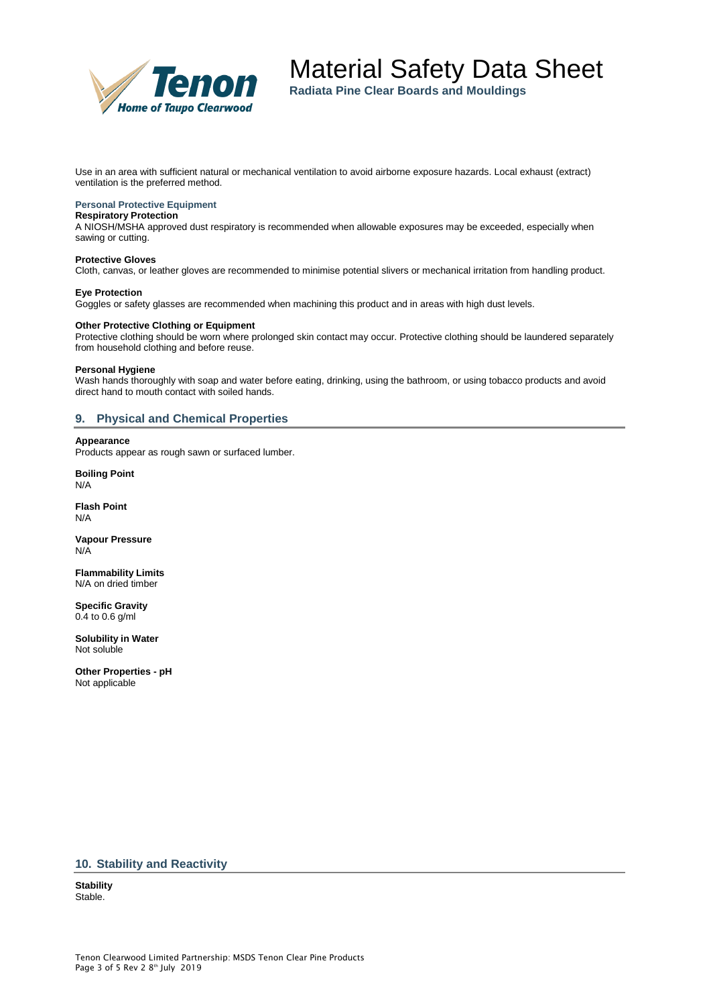

**Radiata Pine Clear Boards and Mouldings**

Use in an area with sufficient natural or mechanical ventilation to avoid airborne exposure hazards. Local exhaust (extract) ventilation is the preferred method.

### **Personal Protective Equipment**

#### **Respiratory Protection**

A NIOSH/MSHA approved dust respiratory is recommended when allowable exposures may be exceeded, especially when sawing or cutting.

#### **Protective Gloves**

Cloth, canvas, or leather gloves are recommended to minimise potential slivers or mechanical irritation from handling product.

#### **Eye Protection**

Goggles or safety glasses are recommended when machining this product and in areas with high dust levels.

# **Other Protective Clothing or Equipment**

Protective clothing should be worn where prolonged skin contact may occur. Protective clothing should be laundered separately from household clothing and before reuse.

#### **Personal Hygiene**

Wash hands thoroughly with soap and water before eating, drinking, using the bathroom, or using tobacco products and avoid direct hand to mouth contact with soiled hands.

### **9. Physical and Chemical Properties**

#### **Appearance**

Products appear as rough sawn or surfaced lumber.

**Boiling Point** N/A

**Flash Point** N/A

**Vapour Pressure** N/A

**Flammability Limits** N/A on dried timber

**Specific Gravity** 0.4 to 0.6 g/ml

**Solubility in Water** Not soluble

**Other Properties - pH** Not applicable

### **10. Stability and Reactivity**

**Stability** Stable.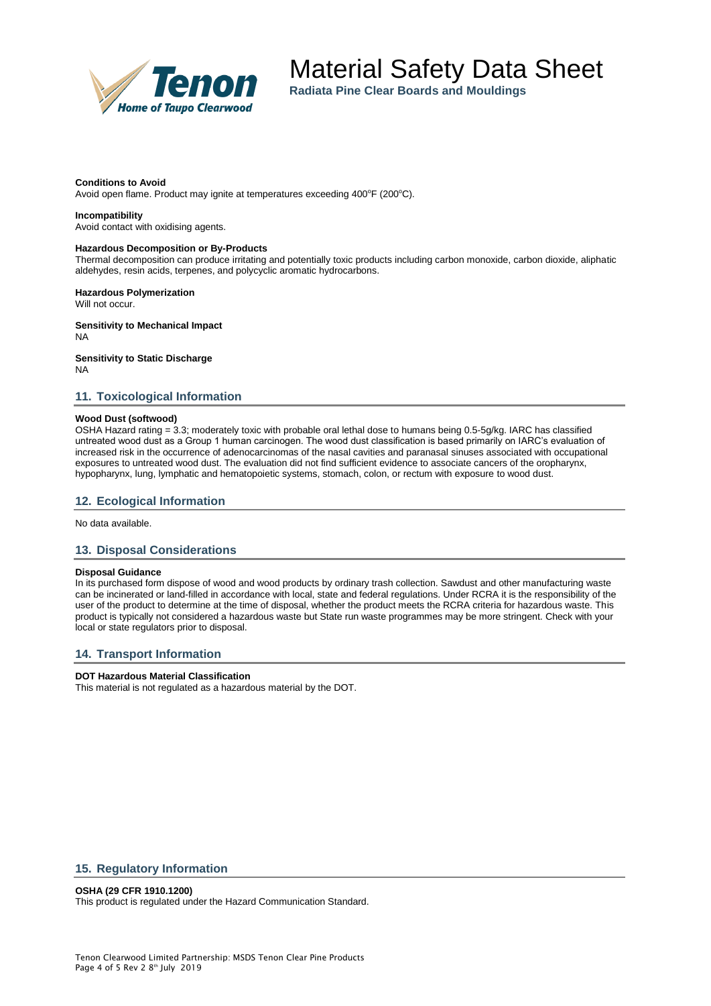

**Radiata Pine Clear Boards and Mouldings**

#### **Conditions to Avoid**

Avoid open flame. Product may ignite at temperatures exceeding 400°F (200°C).

#### **Incompatibility**

Avoid contact with oxidising agents.

#### **Hazardous Decomposition or By-Products**

Thermal decomposition can produce irritating and potentially toxic products including carbon monoxide, carbon dioxide, aliphatic aldehydes, resin acids, terpenes, and polycyclic aromatic hydrocarbons.

**Hazardous Polymerization** Will not occur.

**Sensitivity to Mechanical Impact** NA

**Sensitivity to Static Discharge**

NA

### **11. Toxicological Information**

#### **Wood Dust (softwood)**

OSHA Hazard rating = 3.3; moderately toxic with probable oral lethal dose to humans being 0.5-5g/kg. IARC has classified untreated wood dust as a Group 1 human carcinogen. The wood dust classification is based primarily on IARC's evaluation of increased risk in the occurrence of adenocarcinomas of the nasal cavities and paranasal sinuses associated with occupational exposures to untreated wood dust. The evaluation did not find sufficient evidence to associate cancers of the oropharynx, hypopharynx, lung, lymphatic and hematopoietic systems, stomach, colon, or rectum with exposure to wood dust.

### **12. Ecological Information**

No data available.

### **13. Disposal Considerations**

### **Disposal Guidance**

In its purchased form dispose of wood and wood products by ordinary trash collection. Sawdust and other manufacturing waste can be incinerated or land-filled in accordance with local, state and federal regulations. Under RCRA it is the responsibility of the user of the product to determine at the time of disposal, whether the product meets the RCRA criteria for hazardous waste. This product is typically not considered a hazardous waste but State run waste programmes may be more stringent. Check with your local or state regulators prior to disposal.

### **14. Transport Information**

### **DOT Hazardous Material Classification**

This material is not regulated as a hazardous material by the DOT.

# **15. Regulatory Information**

### **OSHA (29 CFR 1910.1200)**

This product is regulated under the Hazard Communication Standard.